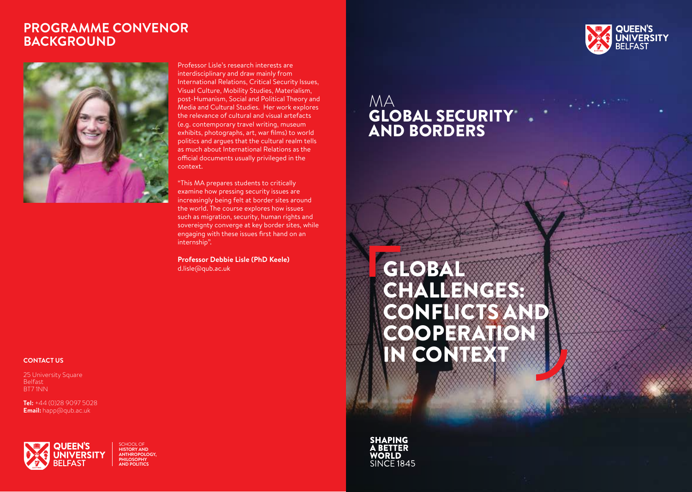### **PROGRAMME CONVENOR BACKGROUND**



Professor Lisle's research interests are interdisciplinary and draw mainly from International Relations, Critical Security Issues, Visual Culture, Mobility Studies, Materialism, post-Humanism, Social and Political Theory and Media and Cultural Studies. Her work explores the relevance of cultural and visual artefacts (e.g. contemporary travel writing, museum exhibits, photographs, art, war films) to world politics and argues that the cultural realm tells as much about International Relations as the official documents usually privileged in the context.

"This MA prepares students to critically examine how pressing security issues are increasingly being felt at border sites around the world. The course explores how issues such as migration, security, human rights and sovereignty converge at key border sites, while engaging with these issues first hand on an internship".

**Professor Debbie Lisle (PhD Keele)**  d.lisle@qub.ac.uk

#### **CONTACT US**

25 University Square Belfast BT7 1NN

**Tel:** +44 (0)28 9097 5028 **Email:** happ@qub.ac.uk



SCHOOL OF **HISTORY AND ANTHROPOLOGY, PHILOSOPHY AND POLITICS**



## MA GLOBAL SECURITY AND BORDERS

# GLOBAL CHALLENGES: CONFLICTS AND **COOPERATION** IN CONTEXT